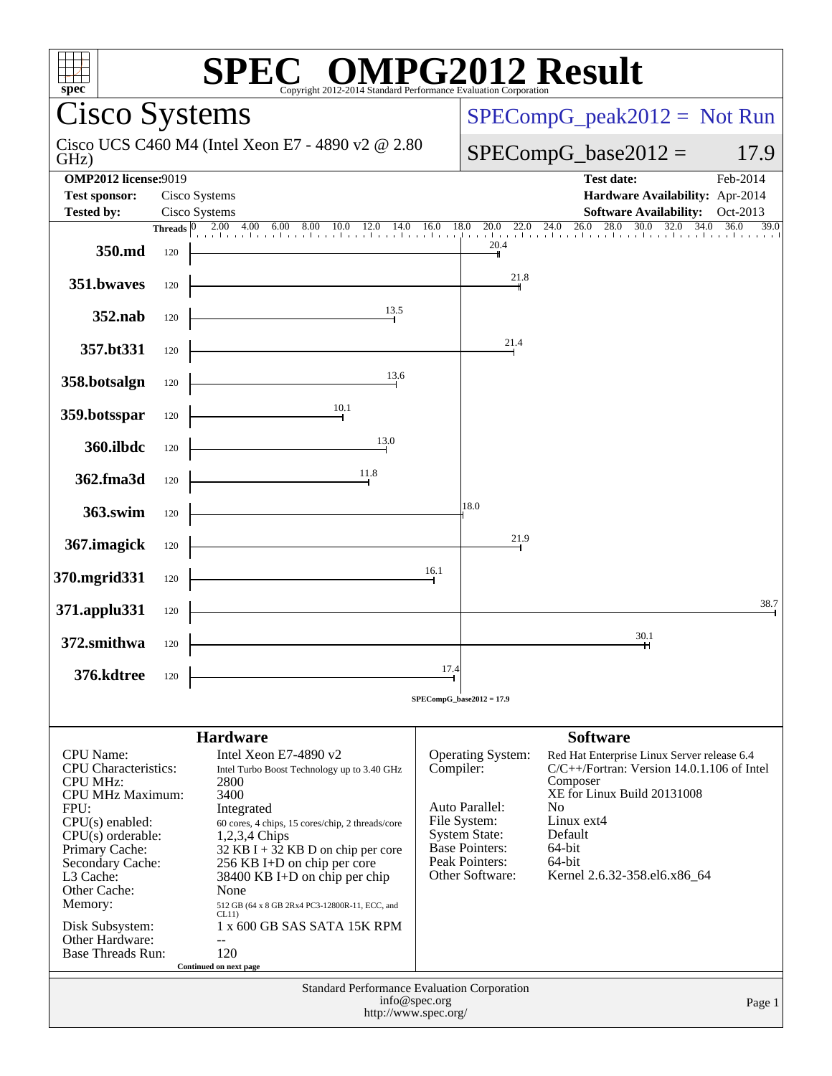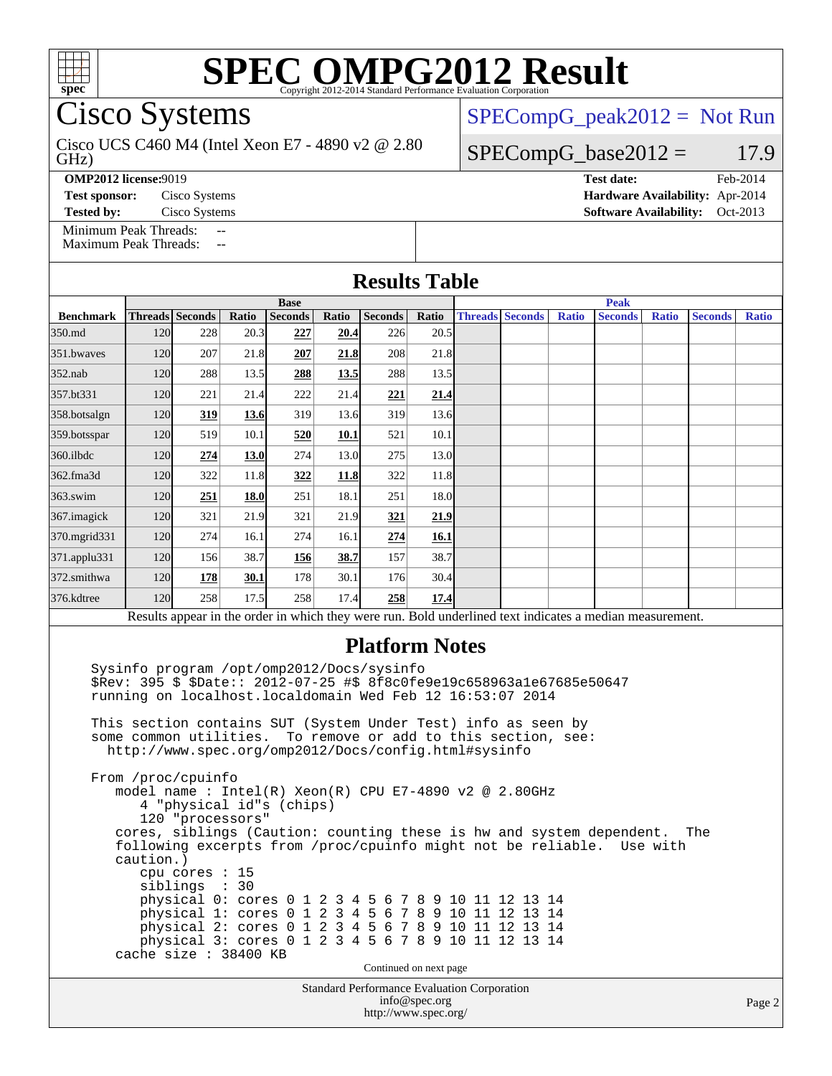

Cisco Systems

GHz) Cisco UCS C460 M4 (Intel Xeon E7 - 4890 v2 @ 2.80 [SPECompG\\_peak2012 =](http://www.spec.org/auto/omp2012/Docs/result-fields.html#SPECompGpeak2012) Not Run

#### $SPECompG_base2012 = 17.9$  $SPECompG_base2012 = 17.9$

**[OMP2012 license:](http://www.spec.org/auto/omp2012/Docs/result-fields.html#OMP2012license)**9019 **[Test date:](http://www.spec.org/auto/omp2012/Docs/result-fields.html#Testdate)** Feb-2014

**[Test sponsor:](http://www.spec.org/auto/omp2012/Docs/result-fields.html#Testsponsor)** Cisco Systems **[Hardware Availability:](http://www.spec.org/auto/omp2012/Docs/result-fields.html#HardwareAvailability)** Apr-2014

**[Tested by:](http://www.spec.org/auto/omp2012/Docs/result-fields.html#Testedby)** Cisco Systems **[Software Availability:](http://www.spec.org/auto/omp2012/Docs/result-fields.html#SoftwareAvailability)** Oct-2013

[Minimum Peak Threads:](http://www.spec.org/auto/omp2012/Docs/result-fields.html#MinimumPeakThreads) [Maximum Peak Threads:](http://www.spec.org/auto/omp2012/Docs/result-fields.html#MaximumPeakThreads)

| <b>Results Table</b>                                                                                                                         |             |                        |       |                |       |                |             |  |                        |              |                |              |                |              |
|----------------------------------------------------------------------------------------------------------------------------------------------|-------------|------------------------|-------|----------------|-------|----------------|-------------|--|------------------------|--------------|----------------|--------------|----------------|--------------|
|                                                                                                                                              | <b>Base</b> |                        |       |                |       |                | <b>Peak</b> |  |                        |              |                |              |                |              |
| <b>Benchmark</b>                                                                                                                             |             | <b>Threads Seconds</b> | Ratio | <b>Seconds</b> | Ratio | <b>Seconds</b> | Ratio       |  | <b>Threads Seconds</b> | <b>Ratio</b> | <b>Seconds</b> | <b>Ratio</b> | <b>Seconds</b> | <b>Ratio</b> |
| 350.md                                                                                                                                       | 120         | 228                    | 20.3  | 227            | 20.4  | 226            | 20.5        |  |                        |              |                |              |                |              |
| 351.bwaves                                                                                                                                   | 120         | 207                    | 21.8  | 207            | 21.8  | 208            | 21.8        |  |                        |              |                |              |                |              |
| $352$ .nab                                                                                                                                   | 120         | 288                    | 13.5  | 288            | 13.5  | 288            | 13.5        |  |                        |              |                |              |                |              |
| 357.bt331                                                                                                                                    | 120         | 221                    | 21.4  | 222            | 21.4  | 221            | 21.4        |  |                        |              |                |              |                |              |
| 358.botsalgn                                                                                                                                 | 120         | 319                    | 13.6  | 319            | 13.6  | 319            | 13.6        |  |                        |              |                |              |                |              |
| 359.botsspar                                                                                                                                 | <b>120</b>  | 519                    | 10.1  | 520            | 10.1  | 521            | 10.1        |  |                        |              |                |              |                |              |
| $360$ .ilbdc                                                                                                                                 | 120         | 274                    | 13.0  | 274            | 13.0  | 275            | 13.0        |  |                        |              |                |              |                |              |
| 362.fma3d                                                                                                                                    | 120         | 322                    | 11.8  | 322            | 11.8  | 322            | 11.8        |  |                        |              |                |              |                |              |
| $363$ .swim                                                                                                                                  | 120         | 251                    | 18.0  | 251            | 18.1  | 251            | 18.0        |  |                        |              |                |              |                |              |
| 367.imagick                                                                                                                                  | 120         | 321                    | 21.9  | 321            | 21.9  | 321            | 21.9        |  |                        |              |                |              |                |              |
| 370.mgrid331                                                                                                                                 | 120         | 274                    | 16.1  | 274            | 16.1  | 274            | 16.1        |  |                        |              |                |              |                |              |
| 371.applu331                                                                                                                                 | 120         | 156                    | 38.7  | 156            | 38.7  | 157            | 38.7        |  |                        |              |                |              |                |              |
| 372.smithwa                                                                                                                                  | 120         | 178                    | 30.1  | 178            | 30.1  | 176            | 30.4        |  |                        |              |                |              |                |              |
| 376.kdtree                                                                                                                                   | <b>120</b>  | 258                    | 17.5  | 258            | 17.4  | 258            | 17.4        |  |                        |              |                |              |                |              |
| Results appear in the order in which they were run. Bold underlined text indicates a median measurement.                                     |             |                        |       |                |       |                |             |  |                        |              |                |              |                |              |
| <b>Platform Notes</b><br>Sysinfo program /opt/omp2012/Docs/sysinfo<br>\$Rev: 395 \$ \$Date:: 2012-07-25 #\$ 8f8c0fe9e19c658963a1e67685e50647 |             |                        |       |                |       |                |             |  |                        |              |                |              |                |              |

 \$Rev: 395 \$ \$Date:: 2012-07-25 #\$ 8f8c0fe9e19c658963a1e67685e50647 running on localhost.localdomain Wed Feb 12 16:53:07 2014

 This section contains SUT (System Under Test) info as seen by some common utilities. To remove or add to this section, see: <http://www.spec.org/omp2012/Docs/config.html#sysinfo>

cache size : 38400 KB

 From /proc/cpuinfo model name : Intel(R) Xeon(R) CPU E7-4890 v2 @ 2.80GHz 4 "physical id"s (chips) 120 "processors" cores, siblings (Caution: counting these is hw and system dependent. The following excerpts from /proc/cpuinfo might not be reliable. Use with caution.) cpu cores : 15 siblings : 30 physical 0: cores 0 1 2 3 4 5 6 7 8 9 10 11 12 13 14 physical 1: cores 0 1 2 3 4 5 6 7 8 9 10 11 12 13 14 physical 2: cores 0 1 2 3 4 5 6 7 8 9 10 11 12 13 14 physical 3: cores 0 1 2 3 4 5 6 7 8 9 10 11 12 13 14

Continued on next page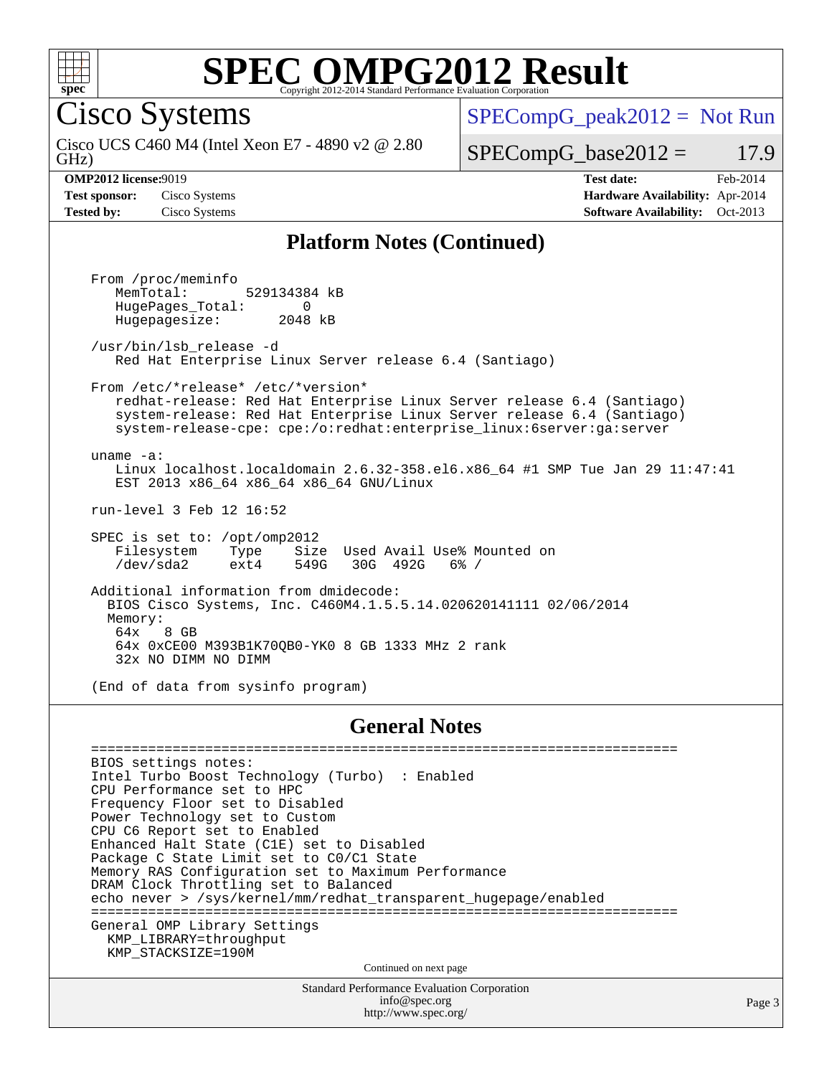

Cisco Systems

 $SPECompG_peak2012 = Not Run$  $SPECompG_peak2012 = Not Run$ 

GHz) Cisco UCS C460 M4 (Intel Xeon E7 - 4890 v2 @ 2.80

 $SPECompG_base2012 = 17.9$  $SPECompG_base2012 = 17.9$ 

**[OMP2012 license:](http://www.spec.org/auto/omp2012/Docs/result-fields.html#OMP2012license)**9019 **[Test date:](http://www.spec.org/auto/omp2012/Docs/result-fields.html#Testdate)** Feb-2014 **[Test sponsor:](http://www.spec.org/auto/omp2012/Docs/result-fields.html#Testsponsor)** Cisco Systems **[Hardware Availability:](http://www.spec.org/auto/omp2012/Docs/result-fields.html#HardwareAvailability)** Apr-2014 **[Tested by:](http://www.spec.org/auto/omp2012/Docs/result-fields.html#Testedby)** Cisco Systems **[Software Availability:](http://www.spec.org/auto/omp2012/Docs/result-fields.html#SoftwareAvailability)** Oct-2013

#### **[Platform Notes \(Continued\)](http://www.spec.org/auto/omp2012/Docs/result-fields.html#PlatformNotes)**

 From /proc/meminfo MemTotal: 529134384 kB HugePages\_Total: 0<br>Hugepagesize: 2048 kB Hugepagesize: /usr/bin/lsb\_release -d Red Hat Enterprise Linux Server release 6.4 (Santiago) From /etc/\*release\* /etc/\*version\* redhat-release: Red Hat Enterprise Linux Server release 6.4 (Santiago) system-release: Red Hat Enterprise Linux Server release 6.4 (Santiago) system-release-cpe: cpe:/o:redhat:enterprise\_linux:6server:ga:server uname -a: Linux localhost.localdomain 2.6.32-358.el6.x86\_64 #1 SMP Tue Jan 29 11:47:41 EST 2013 x86\_64 x86\_64 x86\_64 GNU/Linux run-level 3 Feb 12 16:52 SPEC is set to: /opt/omp2012 Filesystem Type Size Used-Avail Use% Mounted on<br>  $\text{dev/sda2}$  ext4 549G 30G 492G 6% / /dev/sda2 ext4 549G 30G 492G 6% / Additional information from dmidecode: BIOS Cisco Systems, Inc. C460M4.1.5.5.14.020620141111 02/06/2014 Memory: 64x 8 GB 64x 0xCE00 M393B1K70QB0-YK0 8 GB 1333 MHz 2 rank 32x NO DIMM NO DIMM (End of data from sysinfo program)

#### **[General Notes](http://www.spec.org/auto/omp2012/Docs/result-fields.html#GeneralNotes)**

 ======================================================================== BIOS settings notes: Intel Turbo Boost Technology (Turbo) : Enabled CPU Performance set to HPC Frequency Floor set to Disabled Power Technology set to Custom CPU C6 Report set to Enabled Enhanced Halt State (C1E) set to Disabled Package C State Limit set to C0/C1 State Memory RAS Configuration set to Maximum Performance DRAM Clock Throttling set to Balanced echo never > /sys/kernel/mm/redhat\_transparent\_hugepage/enabled ======================================================================== General OMP Library Settings KMP\_LIBRARY=throughput KMP\_STACKSIZE=190M Continued on next page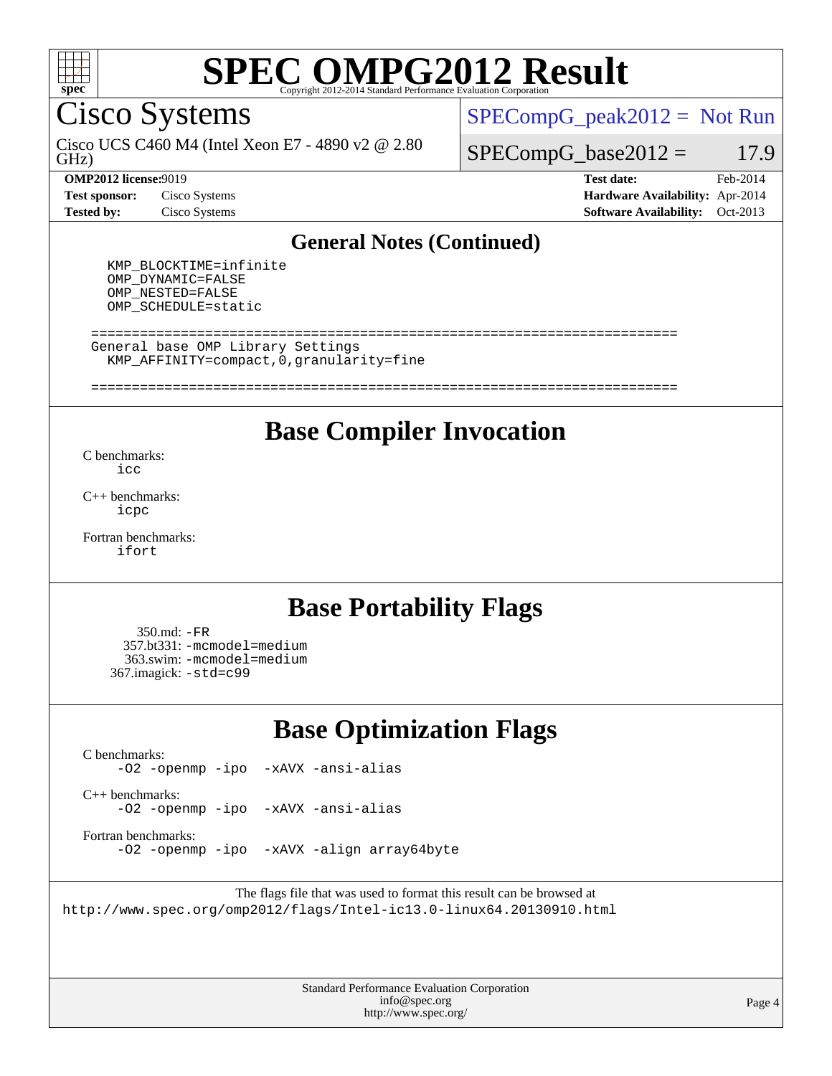

Cisco Systems

GHz) Cisco UCS C460 M4 (Intel Xeon E7 - 4890 v2 @ 2.80  $SPECompG_peak2012 = Not Run$  $SPECompG_peak2012 = Not Run$ 

 $SPECompG_base2012 = 17.9$  $SPECompG_base2012 = 17.9$ 

**[Test sponsor:](http://www.spec.org/auto/omp2012/Docs/result-fields.html#Testsponsor)** Cisco Systems **[Hardware Availability:](http://www.spec.org/auto/omp2012/Docs/result-fields.html#HardwareAvailability)** Apr-2014

**[OMP2012 license:](http://www.spec.org/auto/omp2012/Docs/result-fields.html#OMP2012license)**9019 **[Test date:](http://www.spec.org/auto/omp2012/Docs/result-fields.html#Testdate)** Feb-2014 **[Tested by:](http://www.spec.org/auto/omp2012/Docs/result-fields.html#Testedby)** Cisco Systems **[Software Availability:](http://www.spec.org/auto/omp2012/Docs/result-fields.html#SoftwareAvailability)** Oct-2013

#### **[General Notes \(Continued\)](http://www.spec.org/auto/omp2012/Docs/result-fields.html#GeneralNotes)**

 KMP\_BLOCKTIME=infinite OMP\_DYNAMIC=FALSE OMP\_NESTED=FALSE OMP\_SCHEDULE=static

 ======================================================================== General base OMP Library Settings KMP\_AFFINITY=compact,0,granularity=fine

### ========================================================================

### **[Base Compiler Invocation](http://www.spec.org/auto/omp2012/Docs/result-fields.html#BaseCompilerInvocation)**

[C benchmarks](http://www.spec.org/auto/omp2012/Docs/result-fields.html#Cbenchmarks): [icc](http://www.spec.org/omp2012/results/res2014q1/omp2012-20140227-00046.flags.html#user_CCbase_intel_icc_a87c68a857bc5ec5362391a49d3a37a6)

[C++ benchmarks:](http://www.spec.org/auto/omp2012/Docs/result-fields.html#CXXbenchmarks) [icpc](http://www.spec.org/omp2012/results/res2014q1/omp2012-20140227-00046.flags.html#user_CXXbase_intel_icpc_2d899f8d163502b12eb4a60069f80c1c)

[Fortran benchmarks](http://www.spec.org/auto/omp2012/Docs/result-fields.html#Fortranbenchmarks): [ifort](http://www.spec.org/omp2012/results/res2014q1/omp2012-20140227-00046.flags.html#user_FCbase_intel_ifort_8a5e5e06b19a251bdeaf8fdab5d62f20)

### **[Base Portability Flags](http://www.spec.org/auto/omp2012/Docs/result-fields.html#BasePortabilityFlags)**

 350.md: [-FR](http://www.spec.org/omp2012/results/res2014q1/omp2012-20140227-00046.flags.html#user_baseFPORTABILITY350_md_f-FR) 357.bt331: [-mcmodel=medium](http://www.spec.org/omp2012/results/res2014q1/omp2012-20140227-00046.flags.html#user_basePORTABILITY357_bt331_f-mcmodel_3a41622424bdd074c4f0f2d2f224c7e5) 363.swim: [-mcmodel=medium](http://www.spec.org/omp2012/results/res2014q1/omp2012-20140227-00046.flags.html#user_basePORTABILITY363_swim_f-mcmodel_3a41622424bdd074c4f0f2d2f224c7e5) 367.imagick: [-std=c99](http://www.spec.org/omp2012/results/res2014q1/omp2012-20140227-00046.flags.html#user_baseCPORTABILITY367_imagick_f-std_2ec6533b6e06f1c4a6c9b78d9e9cde24)

## **[Base Optimization Flags](http://www.spec.org/auto/omp2012/Docs/result-fields.html#BaseOptimizationFlags)**

[C benchmarks](http://www.spec.org/auto/omp2012/Docs/result-fields.html#Cbenchmarks):

[-O2](http://www.spec.org/omp2012/results/res2014q1/omp2012-20140227-00046.flags.html#user_CCbase_f-O2) [-openmp](http://www.spec.org/omp2012/results/res2014q1/omp2012-20140227-00046.flags.html#user_CCbase_f-openmp) [-ipo](http://www.spec.org/omp2012/results/res2014q1/omp2012-20140227-00046.flags.html#user_CCbase_f-ipo_84062ab53814f613187d02344b8f49a7) [-xAVX](http://www.spec.org/omp2012/results/res2014q1/omp2012-20140227-00046.flags.html#user_CCbase_f-xAVX) [-ansi-alias](http://www.spec.org/omp2012/results/res2014q1/omp2012-20140227-00046.flags.html#user_CCbase_f-ansi-alias)

[C++ benchmarks:](http://www.spec.org/auto/omp2012/Docs/result-fields.html#CXXbenchmarks) [-O2](http://www.spec.org/omp2012/results/res2014q1/omp2012-20140227-00046.flags.html#user_CXXbase_f-O2) [-openmp](http://www.spec.org/omp2012/results/res2014q1/omp2012-20140227-00046.flags.html#user_CXXbase_f-openmp) [-ipo](http://www.spec.org/omp2012/results/res2014q1/omp2012-20140227-00046.flags.html#user_CXXbase_f-ipo_84062ab53814f613187d02344b8f49a7) [-xAVX](http://www.spec.org/omp2012/results/res2014q1/omp2012-20140227-00046.flags.html#user_CXXbase_f-xAVX) [-ansi-alias](http://www.spec.org/omp2012/results/res2014q1/omp2012-20140227-00046.flags.html#user_CXXbase_f-ansi-alias)

[Fortran benchmarks](http://www.spec.org/auto/omp2012/Docs/result-fields.html#Fortranbenchmarks):

[-O2](http://www.spec.org/omp2012/results/res2014q1/omp2012-20140227-00046.flags.html#user_FCbase_f-O2) [-openmp](http://www.spec.org/omp2012/results/res2014q1/omp2012-20140227-00046.flags.html#user_FCbase_f-openmp) [-ipo](http://www.spec.org/omp2012/results/res2014q1/omp2012-20140227-00046.flags.html#user_FCbase_f-ipo_84062ab53814f613187d02344b8f49a7) [-xAVX](http://www.spec.org/omp2012/results/res2014q1/omp2012-20140227-00046.flags.html#user_FCbase_f-xAVX) [-align array64byte](http://www.spec.org/omp2012/results/res2014q1/omp2012-20140227-00046.flags.html#user_FCbase_f-align_c9377f996e966d652baaf753401d4725)

The flags file that was used to format this result can be browsed at <http://www.spec.org/omp2012/flags/Intel-ic13.0-linux64.20130910.html>